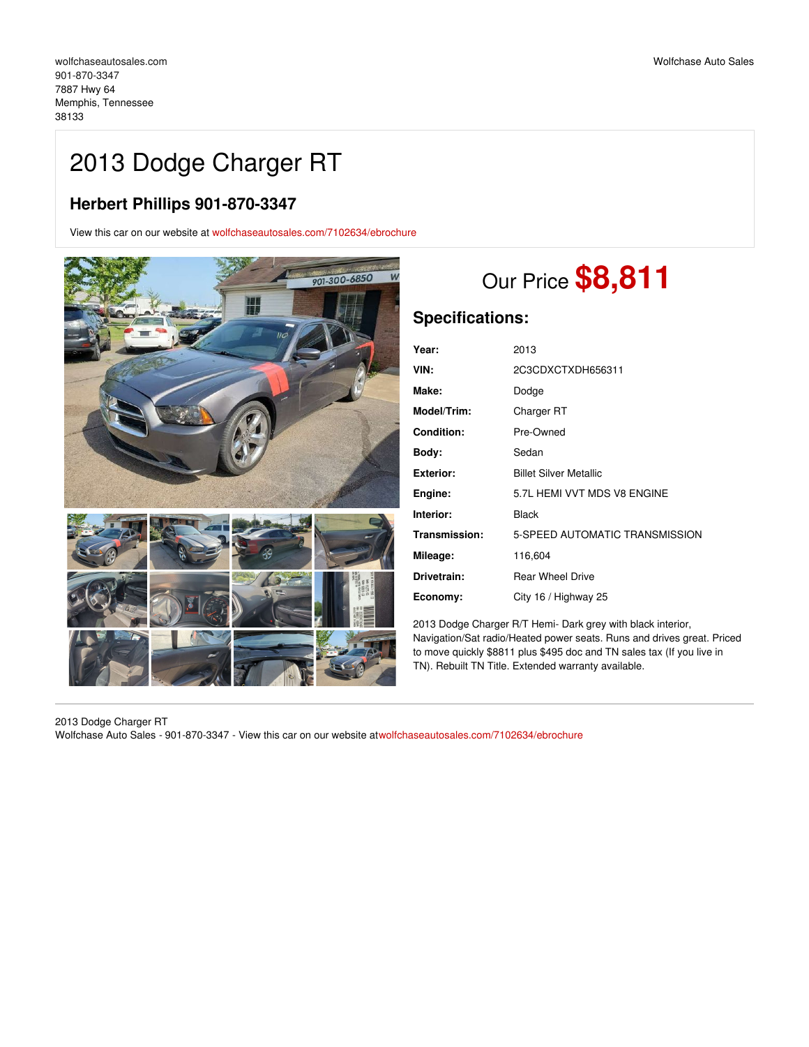# 2013 Dodge Charger RT

## **Herbert Phillips 901-870-3347**

View this car on our website at [wolfchaseautosales.com/7102634/ebrochure](https://wolfchaseautosales.com/vehicle/7102634/2013-dodge-charger-rt-memphis-tennessee-38133/7102634/ebrochure)



# Our Price **\$8,811**

## **Specifications:**

| Year:              | 2013                           |
|--------------------|--------------------------------|
| VIN:               | 2C3CDXCTXDH656311              |
| Make:              | Dodge                          |
| <b>Model/Trim:</b> | Charger RT                     |
| <b>Condition:</b>  | Pre-Owned                      |
| Body:              | Sedan                          |
| Exterior:          | <b>Billet Silver Metallic</b>  |
| Engine:            | 5.7L HEMI VVT MDS V8 ENGINE    |
| Interior:          | Black                          |
| Transmission:      | 5-SPEED AUTOMATIC TRANSMISSION |
| Mileage:           | 116,604                        |
| Drivetrain:        | <b>Rear Wheel Drive</b>        |
| Economy:           | City 16 / Highway 25           |

2013 Dodge Charger R/T Hemi- Dark grey with black interior, Navigation/Sat radio/Heated power seats. Runs and drives great. Priced to move quickly \$8811 plus \$495 doc and TN sales tax (If you live in TN). Rebuilt TN Title. Extended warranty available.

2013 Dodge Charger RT Wolfchase Auto Sales - 901-870-3347 - View this car on our website a[twolfchaseautosales.com/7102634/ebrochure](https://wolfchaseautosales.com/vehicle/7102634/2013-dodge-charger-rt-memphis-tennessee-38133/7102634/ebrochure)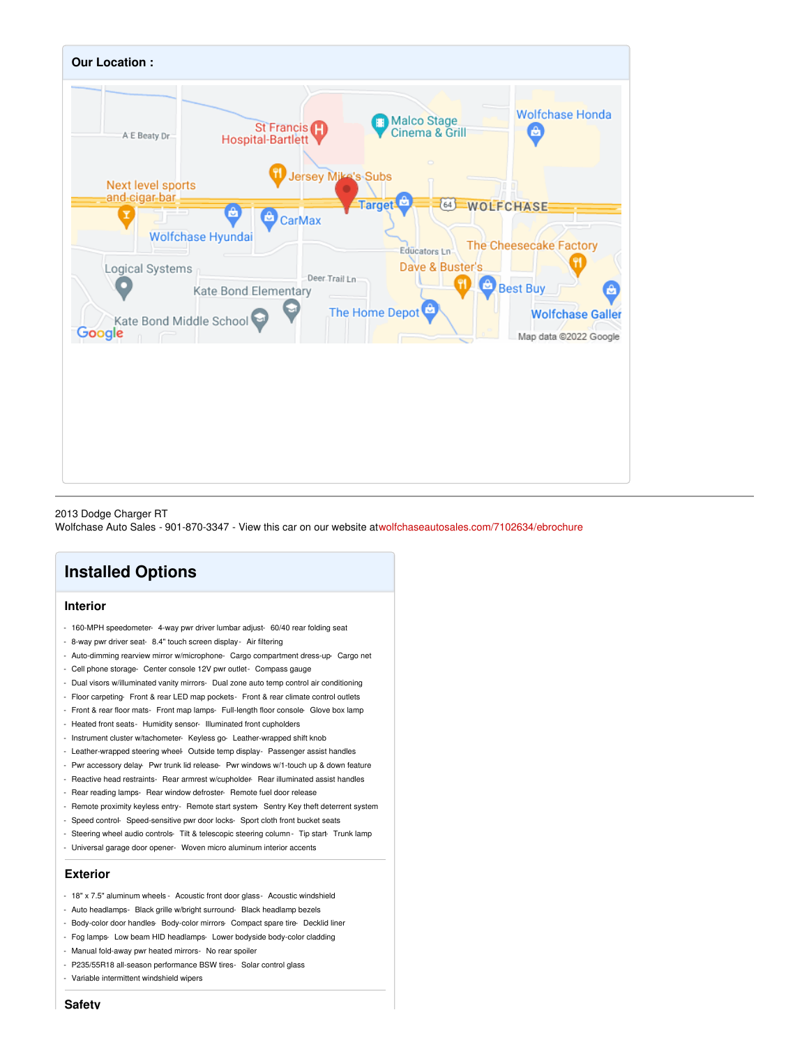

#### 2013 Dodge Charger RT Wolfchase Auto Sales - 901-870-3347 - View this car on our website a[twolfchaseautosales.com/7102634/ebrochure](https://wolfchaseautosales.com/vehicle/7102634/2013-dodge-charger-rt-memphis-tennessee-38133/7102634/ebrochure)

## **Installed Options**

### **Interior**

- 160-MPH speedometer- 4-way pwr driver lumbar adjust- 60/40 rear folding seat
- 8-way pwr driver seat- 8.4" touch screen display- Air filtering
- Auto-dimming rearview mirror w/microphone- Cargo compartment dress-up- Cargo net
- Cell phone storage- Center console 12V pwr outlet- Compass gauge
- Dual visors w/illuminated vanity mirrors- Dual zone auto temp control air conditioning
- Floor carpeting- Front & rear LED map pockets- Front & rear climate control outlets
- Front & rear floor mats- Front map lamps- Full-length floor console- Glove box lamp
- Heated front seats- Humidity sensor- Illuminated front cupholders
- Instrument cluster w/tachometer- Keyless go- Leather-wrapped shift knob
- Leather-wrapped steering wheel- Outside temp display- Passenger assist handles
- Pwr accessory delay- Pwr trunk lid release- Pwr windows w/1-touch up & down feature
- Reactive head restraints- Rear armrest w/cupholder- Rear illuminated assist handles
- Rear reading lamps- Rear window defroster- Remote fuel door release
- Remote proximity keyless entry- Remote start system- Sentry Key theft deterrent system
- Speed control- Speed-sensitive pwr door locks- Sport cloth front bucket seats
- Steering wheel audio controls- Tilt & telescopic steering column Tip start- Trunk lamp
- Universal garage door opener- Woven micro aluminum interior accents

### **Exterior**

- 18" x 7.5" aluminum wheels Acoustic front door glass- Acoustic windshield
- Auto headlamps- Black grille w/bright surround- Black headlamp bezels
- Body-color door handles- Body-color mirrors- Compact spare tire- Decklid liner
- Fog lamps- Low beam HID headlamps- Lower bodyside body-color cladding
- Manual fold-away pwr heated mirrors- No rear spoiler
- P235/55R18 all-season performance BSW tires- Solar control glass
- Variable intermittent windshield wipers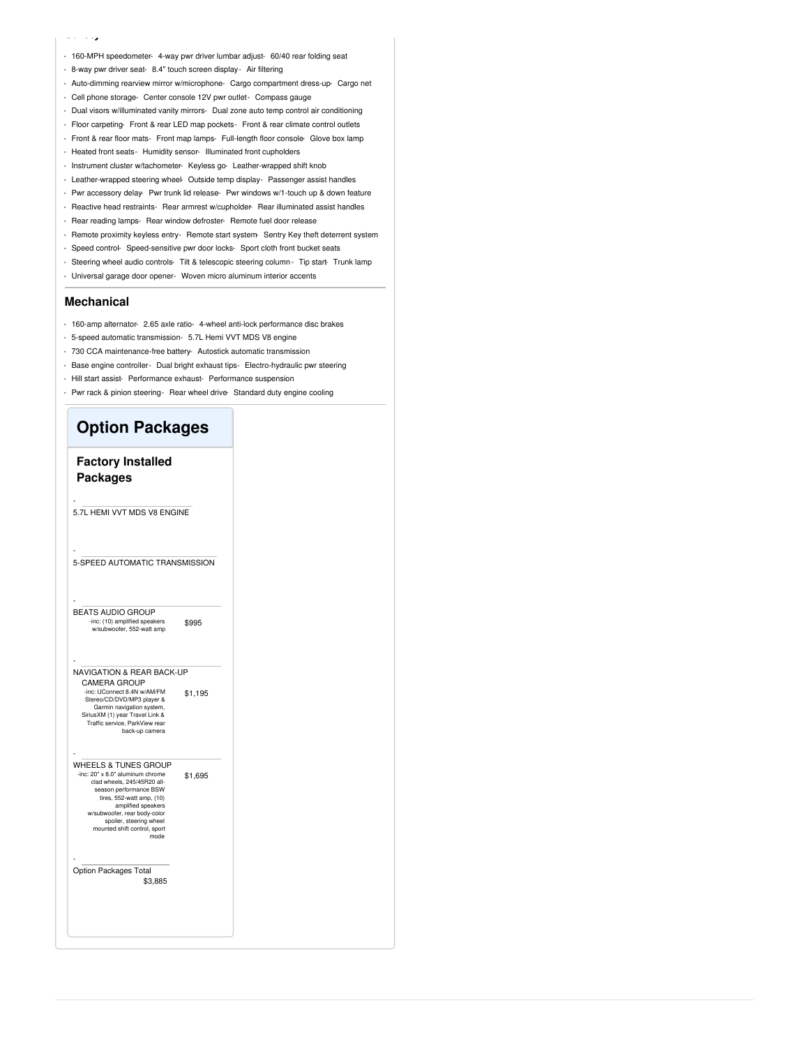#### **Safety**

- 160-MPH speedometer- 4-way pwr driver lumbar adjust- 60/40 rear folding seat
- 8-way pwr driver seat- 8.4" touch screen display- Air filtering
- Auto-dimming rearview mirror w/microphone- Cargo compartment dress-up- Cargo net
- Cell phone storage- Center console 12V pwr outlet- Compass gauge
- Dual visors w/illuminated vanity mirrors- Dual zone auto temp control air conditioning
- Floor carpeting- Front & rear LED map pockets- Front & rear climate control outlets
- Front & rear floor mats- Front map lamps- Full-length floor console- Glove box lamp
- Heated front seats- Humidity sensor- Illuminated front cupholders
- Instrument cluster w/tachometer- Keyless go- Leather-wrapped shift knob
- Leather-wrapped steering wheel- Outside temp display- Passenger assist handles
- Pwr accessory delay- Pwr trunk lid release- Pwr windows w/1-touch up & down feature
- Reactive head restraints- Rear armrest w/cupholder- Rear illuminated assist handles
- Rear reading lamps- Rear window defroster- Remote fuel door release
- Remote proximity keyless entry- Remote start system- Sentry Key theft deterrent system
- Speed control- Speed-sensitive pwr door locks- Sport cloth front bucket seats
- Steering wheel audio controls- Tilt & telescopic steering column- Tip start- Trunk lamp
- Universal garage door opener- Woven micro aluminum interior accents

#### **Mechanical**

- 160-amp alternator- 2.65 axle ratio- 4-wheel anti-lock performance disc brakes
- 5-speed automatic transmission- 5.7L Hemi VVT MDS V8 engine
- 730 CCA maintenance-free battery- Autostick automatic transmission
- Base engine controller- Dual bright exhaust tips- Electro-hydraulic pwr steering
- Hill start assist- Performance exhaust- Performance suspension
- Pwr rack & pinion steering- Rear wheel drive-Standard duty engine cooling

## **Option Packages Factory Installed Packages** - 5.7L HEMI VVT MDS V8 ENGINE - 5-SPEED AUTOMATIC TRANSMISSION \$995 - BEATS AUDIO GROUP -inc: (10) amplified speakers w/subwoofer, 552-watt amp \$1,195 - NAVIGATION & REAR BACK-UP CAMERA GROUP -inc: UConnect 8.4N w/AM/FM Stereo/CD/DVD/MP3 player & Garmin navigation system, SiriusXM (1) year Travel Link & Traffic service, ParkView rear back-up camera \$1,695 - WHEELS & TUNES GROUP -inc: 20" x 8.0" aluminum chrome clad wheels, 245/45R20 allseason performance BSW tires, 552-watt amp, (10) amplified speakers w/subwoofer, rear body-color spoiler, steering wheel mounted shift control, sport mode \$3,885 - Option Packages Total